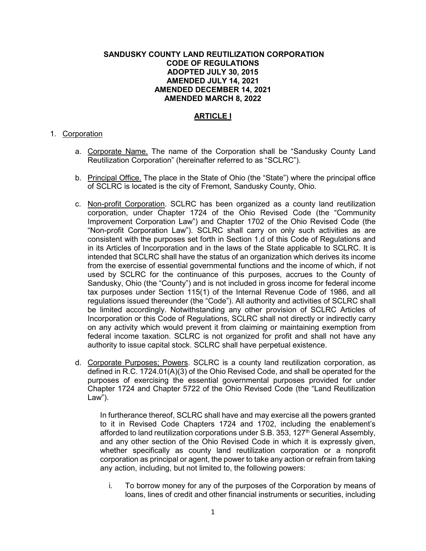# **SANDUSKY COUNTY LAND REUTILIZATION CORPORATION CODE OF REGULATIONS ADOPTED JULY 30, 2015 AMENDED JULY 14, 2021 AMENDED DECEMBER 14, 2021 AMENDED MARCH 8, 2022**

# **ARTICLE I**

#### 1. Corporation

- a. Corporate Name. The name of the Corporation shall be "Sandusky County Land Reutilization Corporation" (hereinafter referred to as "SCLRC").
- b. Principal Office. The place in the State of Ohio (the "State") where the principal office of SCLRC is located is the city of Fremont, Sandusky County, Ohio.
- c. Non-profit Corporation. SCLRC has been organized as a county land reutilization corporation, under Chapter 1724 of the Ohio Revised Code (the "Community Improvement Corporation Law") and Chapter 1702 of the Ohio Revised Code (the "Non-profit Corporation Law"). SCLRC shall carry on only such activities as are consistent with the purposes set forth in Section 1.d of this Code of Regulations and in its Articles of Incorporation and in the laws of the State applicable to SCLRC. It is intended that SCLRC shall have the status of an organization which derives its income from the exercise of essential governmental functions and the income of which, if not used by SCLRC for the continuance of this purposes, accrues to the County of Sandusky, Ohio (the "County") and is not included in gross income for federal income tax purposes under Section 115(1) of the Internal Revenue Code of 1986, and all regulations issued thereunder (the "Code"). All authority and activities of SCLRC shall be limited accordingly. Notwithstanding any other provision of SCLRC Articles of Incorporation or this Code of Regulations, SCLRC shall not directly or indirectly carry on any activity which would prevent it from claiming or maintaining exemption from federal income taxation. SCLRC is not organized for profit and shall not have any authority to issue capital stock. SCLRC shall have perpetual existence.
- d. Corporate Purposes; Powers. SCLRC is a county land reutilization corporation, as defined in R.C. 1724.01(A)(3) of the Ohio Revised Code, and shall be operated for the purposes of exercising the essential governmental purposes provided for under Chapter 1724 and Chapter 5722 of the Ohio Revised Code (the "Land Reutilization Law").

In furtherance thereof, SCLRC shall have and may exercise all the powers granted to it in Revised Code Chapters 1724 and 1702, including the enablement's afforded to land reutilization corporations under S.B. 353, 127<sup>th</sup> General Assembly, and any other section of the Ohio Revised Code in which it is expressly given, whether specifically as county land reutilization corporation or a nonprofit corporation as principal or agent, the power to take any action or refrain from taking any action, including, but not limited to, the following powers:

i. To borrow money for any of the purposes of the Corporation by means of loans, lines of credit and other financial instruments or securities, including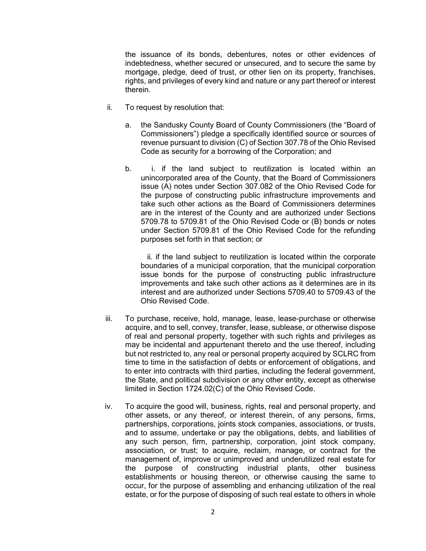the issuance of its bonds, debentures, notes or other evidences of indebtedness, whether secured or unsecured, and to secure the same by mortgage, pledge, deed of trust, or other lien on its property, franchises, rights, and privileges of every kind and nature or any part thereof or interest therein.

- ii. To request by resolution that:
	- a. the Sandusky County Board of County Commissioners (the "Board of Commissioners") pledge a specifically identified source or sources of revenue pursuant to division (C) of Section 307.78 of the Ohio Revised Code as security for a borrowing of the Corporation; and
	- b. i. if the land subject to reutilization is located within an unincorporated area of the County, that the Board of Commissioners issue (A) notes under Section 307.082 of the Ohio Revised Code for the purpose of constructing public infrastructure improvements and take such other actions as the Board of Commissioners determines are in the interest of the County and are authorized under Sections 5709.78 to 5709.81 of the Ohio Revised Code or (B) bonds or notes under Section 5709.81 of the Ohio Revised Code for the refunding purposes set forth in that section; or

ii. if the land subject to reutilization is located within the corporate boundaries of a municipal corporation, that the municipal corporation issue bonds for the purpose of constructing public infrastructure improvements and take such other actions as it determines are in its interest and are authorized under Sections 5709.40 to 5709.43 of the Ohio Revised Code.

- iii. To purchase, receive, hold, manage, lease, lease-purchase or otherwise acquire, and to sell, convey, transfer, lease, sublease, or otherwise dispose of real and personal property, together with such rights and privileges as may be incidental and appurtenant thereto and the use thereof, including but not restricted to, any real or personal property acquired by SCLRC from time to time in the satisfaction of debts or enforcement of obligations, and to enter into contracts with third parties, including the federal government, the State, and political subdivision or any other entity, except as otherwise limited in Section 1724.02(C) of the Ohio Revised Code.
- iv. To acquire the good will, business, rights, real and personal property, and other assets, or any thereof, or interest therein, of any persons, firms, partnerships, corporations, joints stock companies, associations, or trusts, and to assume, undertake or pay the obligations, debts, and liabilities of any such person, firm, partnership, corporation, joint stock company, association, or trust; to acquire, reclaim, manage, or contract for the management of, improve or unimproved and underutilized real estate for the purpose of constructing industrial plants, other business establishments or housing thereon, or otherwise causing the same to occur, for the purpose of assembling and enhancing utilization of the real estate, or for the purpose of disposing of such real estate to others in whole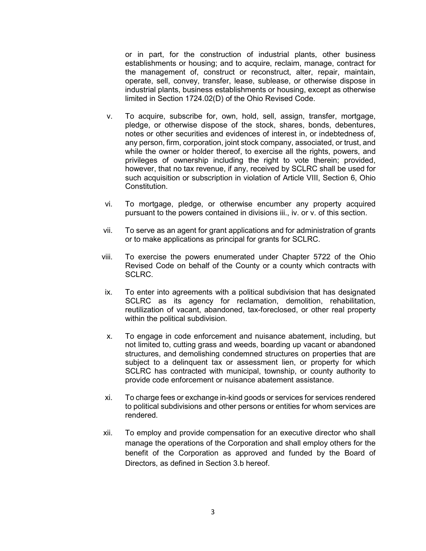or in part, for the construction of industrial plants, other business establishments or housing; and to acquire, reclaim, manage, contract for the management of, construct or reconstruct, alter, repair, maintain, operate, sell, convey, transfer, lease, sublease, or otherwise dispose in industrial plants, business establishments or housing, except as otherwise limited in Section 1724.02(D) of the Ohio Revised Code.

- v. To acquire, subscribe for, own, hold, sell, assign, transfer, mortgage, pledge, or otherwise dispose of the stock, shares, bonds, debentures, notes or other securities and evidences of interest in, or indebtedness of, any person, firm, corporation, joint stock company, associated, or trust, and while the owner or holder thereof, to exercise all the rights, powers, and privileges of ownership including the right to vote therein; provided, however, that no tax revenue, if any, received by SCLRC shall be used for such acquisition or subscription in violation of Article VIII, Section 6, Ohio Constitution.
- vi. To mortgage, pledge, or otherwise encumber any property acquired pursuant to the powers contained in divisions iii., iv. or v. of this section.
- vii. To serve as an agent for grant applications and for administration of grants or to make applications as principal for grants for SCLRC.
- viii. To exercise the powers enumerated under Chapter 5722 of the Ohio Revised Code on behalf of the County or a county which contracts with SCLRC.
- ix. To enter into agreements with a political subdivision that has designated SCLRC as its agency for reclamation, demolition, rehabilitation, reutilization of vacant, abandoned, tax-foreclosed, or other real property within the political subdivision.
- x. To engage in code enforcement and nuisance abatement, including, but not limited to, cutting grass and weeds, boarding up vacant or abandoned structures, and demolishing condemned structures on properties that are subject to a delinquent tax or assessment lien, or property for which SCLRC has contracted with municipal, township, or county authority to provide code enforcement or nuisance abatement assistance.
- xi. To charge fees or exchange in-kind goods or services for services rendered to political subdivisions and other persons or entities for whom services are rendered.
- xii. To employ and provide compensation for an executive director who shall manage the operations of the Corporation and shall employ others for the benefit of the Corporation as approved and funded by the Board of Directors, as defined in Section 3.b hereof.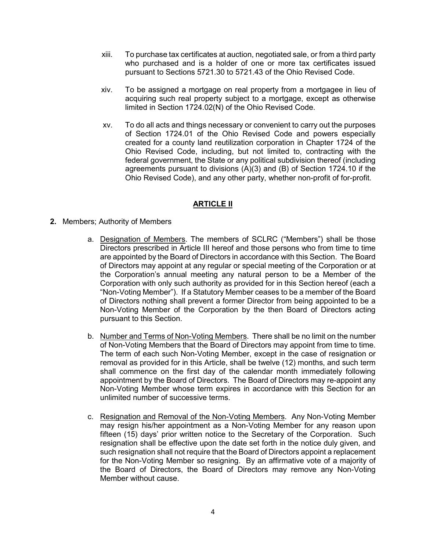- xiii. To purchase tax certificates at auction, negotiated sale, or from a third party who purchased and is a holder of one or more tax certificates issued pursuant to Sections 5721.30 to 5721.43 of the Ohio Revised Code.
- xiv. To be assigned a mortgage on real property from a mortgagee in lieu of acquiring such real property subject to a mortgage, except as otherwise limited in Section 1724.02(N) of the Ohio Revised Code.
- xv. To do all acts and things necessary or convenient to carry out the purposes of Section 1724.01 of the Ohio Revised Code and powers especially created for a county land reutilization corporation in Chapter 1724 of the Ohio Revised Code, including, but not limited to, contracting with the federal government, the State or any political subdivision thereof (including agreements pursuant to divisions (A)(3) and (B) of Section 1724.10 if the Ohio Revised Code), and any other party, whether non-profit of for-profit.

# **ARTICLE II**

- **2.** Members; Authority of Members
	- a. Designation of Members. The members of SCLRC ("Members") shall be those Directors prescribed in Article III hereof and those persons who from time to time are appointed by the Board of Directors in accordance with this Section. The Board of Directors may appoint at any regular or special meeting of the Corporation or at the Corporation's annual meeting any natural person to be a Member of the Corporation with only such authority as provided for in this Section hereof (each a "Non-Voting Member"). If a Statutory Member ceases to be a member of the Board of Directors nothing shall prevent a former Director from being appointed to be a Non-Voting Member of the Corporation by the then Board of Directors acting pursuant to this Section.
	- b. Number and Terms of Non-Voting Members. There shall be no limit on the number of Non-Voting Members that the Board of Directors may appoint from time to time. The term of each such Non-Voting Member, except in the case of resignation or removal as provided for in this Article, shall be twelve (12) months, and such term shall commence on the first day of the calendar month immediately following appointment by the Board of Directors. The Board of Directors may re-appoint any Non-Voting Member whose term expires in accordance with this Section for an unlimited number of successive terms.
	- c. Resignation and Removal of the Non-Voting Members. Any Non-Voting Member may resign his/her appointment as a Non-Voting Member for any reason upon fifteen (15) days' prior written notice to the Secretary of the Corporation. Such resignation shall be effective upon the date set forth in the notice duly given, and such resignation shall not require that the Board of Directors appoint a replacement for the Non-Voting Member so resigning. By an affirmative vote of a majority of the Board of Directors, the Board of Directors may remove any Non-Voting Member without cause.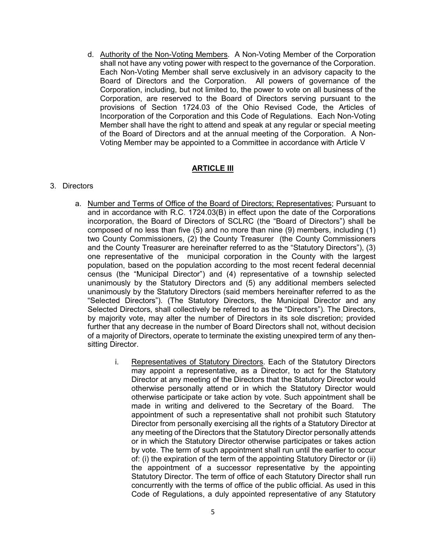d. Authority of the Non-Voting Members. A Non-Voting Member of the Corporation shall not have any voting power with respect to the governance of the Corporation. Each Non-Voting Member shall serve exclusively in an advisory capacity to the Board of Directors and the Corporation. All powers of governance of the Corporation, including, but not limited to, the power to vote on all business of the Corporation, are reserved to the Board of Directors serving pursuant to the provisions of Section 1724.03 of the Ohio Revised Code, the Articles of Incorporation of the Corporation and this Code of Regulations. Each Non-Voting Member shall have the right to attend and speak at any regular or special meeting of the Board of Directors and at the annual meeting of the Corporation. A Non-Voting Member may be appointed to a Committee in accordance with Article V

# **ARTICLE III**

#### 3. Directors

- a. Number and Terms of Office of the Board of Directors; Representatives; Pursuant to and in accordance with R.C. 1724.03(B) in effect upon the date of the Corporations incorporation, the Board of Directors of SCLRC (the "Board of Directors") shall be composed of no less than five (5) and no more than nine (9) members, including (1) two County Commissioners, (2) the County Treasurer (the County Commissioners and the County Treasurer are hereinafter referred to as the "Statutory Directors"), (3) one representative of the municipal corporation in the County with the largest population, based on the population according to the most recent federal decennial census (the "Municipal Director") and (4) representative of a township selected unanimously by the Statutory Directors and (5) any additional members selected unanimously by the Statutory Directors (said members hereinafter referred to as the "Selected Directors"). (The Statutory Directors, the Municipal Director and any Selected Directors, shall collectively be referred to as the "Directors"). The Directors, by majority vote, may alter the number of Directors in its sole discretion; provided further that any decrease in the number of Board Directors shall not, without decision of a majority of Directors, operate to terminate the existing unexpired term of any thensitting Director.
	- i. Representatives of Statutory Directors. Each of the Statutory Directors may appoint a representative, as a Director, to act for the Statutory Director at any meeting of the Directors that the Statutory Director would otherwise personally attend or in which the Statutory Director would otherwise participate or take action by vote. Such appointment shall be made in writing and delivered to the Secretary of the Board. The appointment of such a representative shall not prohibit such Statutory Director from personally exercising all the rights of a Statutory Director at any meeting of the Directors that the Statutory Director personally attends or in which the Statutory Director otherwise participates or takes action by vote. The term of such appointment shall run until the earlier to occur of: (i) the expiration of the term of the appointing Statutory Director or (ii) the appointment of a successor representative by the appointing Statutory Director. The term of office of each Statutory Director shall run concurrently with the terms of office of the public official. As used in this Code of Regulations, a duly appointed representative of any Statutory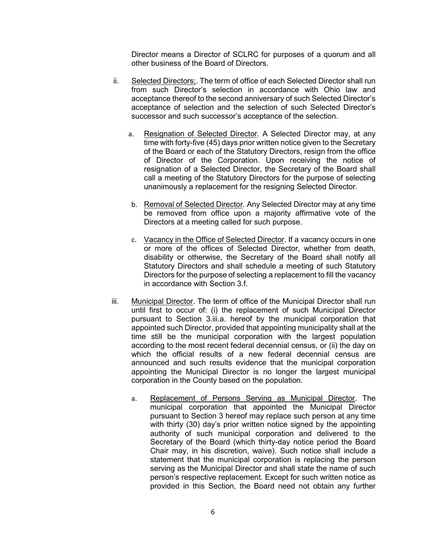Director means a Director of SCLRC for purposes of a quorum and all other business of the Board of Directors.

- ii. Selected Directors;. The term of office of each Selected Director shall run from such Director's selection in accordance with Ohio law and acceptance thereof to the second anniversary of such Selected Director's acceptance of selection and the selection of such Selected Director's successor and such successor's acceptance of the selection.
	- a. Resignation of Selected Director. A Selected Director may, at any time with forty-five (45) days prior written notice given to the Secretary of the Board or each of the Statutory Directors, resign from the office of Director of the Corporation. Upon receiving the notice of resignation of a Selected Director, the Secretary of the Board shall call a meeting of the Statutory Directors for the purpose of selecting unanimously a replacement for the resigning Selected Director.
	- b. Removal of Selected Director. Any Selected Director may at any time be removed from office upon a majority affirmative vote of the Directors at a meeting called for such purpose.
	- c. Vacancy in the Office of Selected Director. If a vacancy occurs in one or more of the offices of Selected Director, whether from death, disability or otherwise, the Secretary of the Board shall notify all Statutory Directors and shall schedule a meeting of such Statutory Directors for the purpose of selecting a replacement to fill the vacancy in accordance with Section 3.f.
- iii. Municipal Director. The term of office of the Municipal Director shall run until first to occur of: (i) the replacement of such Municipal Director pursuant to Section 3.iii.a. hereof by the municipal corporation that appointed such Director, provided that appointing municipality shall at the time still be the municipal corporation with the largest population according to the most recent federal decennial census, or (ii) the day on which the official results of a new federal decennial census are announced and such results evidence that the municipal corporation appointing the Municipal Director is no longer the largest municipal corporation in the County based on the population.
	- a. Replacement of Persons Serving as Municipal Director. The municipal corporation that appointed the Municipal Director pursuant to Section 3 hereof may replace such person at any time with thirty (30) day's prior written notice signed by the appointing authority of such municipal corporation and delivered to the Secretary of the Board (which thirty-day notice period the Board Chair may, in his discretion, waive). Such notice shall include a statement that the municipal corporation is replacing the person serving as the Municipal Director and shall state the name of such person's respective replacement. Except for such written notice as provided in this Section, the Board need not obtain any further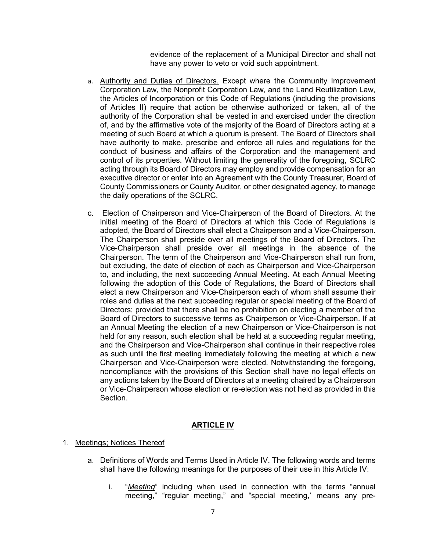evidence of the replacement of a Municipal Director and shall not have any power to veto or void such appointment.

- a. Authority and Duties of Directors. Except where the Community Improvement Corporation Law, the Nonprofit Corporation Law, and the Land Reutilization Law, the Articles of Incorporation or this Code of Regulations (including the provisions of Articles II) require that action be otherwise authorized or taken, all of the authority of the Corporation shall be vested in and exercised under the direction of, and by the affirmative vote of the majority of the Board of Directors acting at a meeting of such Board at which a quorum is present. The Board of Directors shall have authority to make, prescribe and enforce all rules and regulations for the conduct of business and affairs of the Corporation and the management and control of its properties. Without limiting the generality of the foregoing, SCLRC acting through its Board of Directors may employ and provide compensation for an executive director or enter into an Agreement with the County Treasurer, Board of County Commissioners or County Auditor, or other designated agency, to manage the daily operations of the SCLRC.
- c. Election of Chairperson and Vice-Chairperson of the Board of Directors. At the initial meeting of the Board of Directors at which this Code of Regulations is adopted, the Board of Directors shall elect a Chairperson and a Vice-Chairperson. The Chairperson shall preside over all meetings of the Board of Directors. The Vice-Chairperson shall preside over all meetings in the absence of the Chairperson. The term of the Chairperson and Vice-Chairperson shall run from, but excluding, the date of election of each as Chairperson and Vice-Chairperson to, and including, the next succeeding Annual Meeting. At each Annual Meeting following the adoption of this Code of Regulations, the Board of Directors shall elect a new Chairperson and Vice-Chairperson each of whom shall assume their roles and duties at the next succeeding regular or special meeting of the Board of Directors; provided that there shall be no prohibition on electing a member of the Board of Directors to successive terms as Chairperson or Vice-Chairperson. If at an Annual Meeting the election of a new Chairperson or Vice-Chairperson is not held for any reason, such election shall be held at a succeeding regular meeting, and the Chairperson and Vice-Chairperson shall continue in their respective roles as such until the first meeting immediately following the meeting at which a new Chairperson and Vice-Chairperson were elected. Notwithstanding the foregoing, noncompliance with the provisions of this Section shall have no legal effects on any actions taken by the Board of Directors at a meeting chaired by a Chairperson or Vice-Chairperson whose election or re-election was not held as provided in this Section.

# **ARTICLE IV**

#### 1. Meetings; Notices Thereof

- a. Definitions of Words and Terms Used in Article IV. The following words and terms shall have the following meanings for the purposes of their use in this Article IV:
	- i. "*Meeting*" including when used in connection with the terms "annual meeting," "regular meeting," and "special meeting,' means any pre-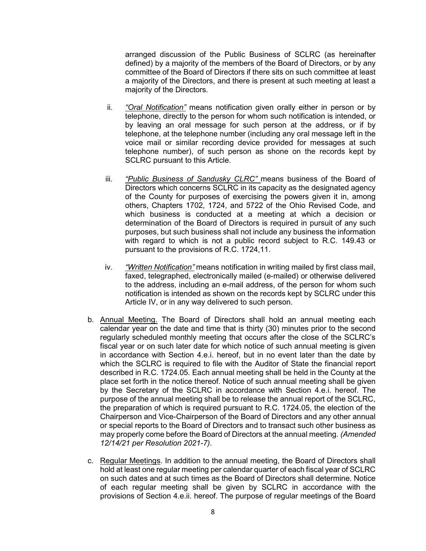arranged discussion of the Public Business of SCLRC (as hereinafter defined) by a majority of the members of the Board of Directors, or by any committee of the Board of Directors if there sits on such committee at least a majority of the Directors, and there is present at such meeting at least a majority of the Directors.

- ii. *"Oral Notification"* means notification given orally either in person or by telephone, directly to the person for whom such notification is intended, or by leaving an oral message for such person at the address, or if by telephone, at the telephone number (including any oral message left in the voice mail or similar recording device provided for messages at such telephone number), of such person as shone on the records kept by SCLRC pursuant to this Article.
- iii. *"Public Business of Sandusky CLRC"* means business of the Board of Directors which concerns SCLRC in its capacity as the designated agency of the County for purposes of exercising the powers given it in, among others, Chapters 1702, 1724, and 5722 of the Ohio Revised Code, and which business is conducted at a meeting at which a decision or determination of the Board of Directors is required in pursuit of any such purposes, but such business shall not include any business the information with regard to which is not a public record subject to R.C. 149.43 or pursuant to the provisions of R.C. 1724,11.
- iv. *"Written Notification"* means notification in writing mailed by first class mail, faxed, telegraphed, electronically mailed (e-mailed) or otherwise delivered to the address, including an e-mail address, of the person for whom such notification is intended as shown on the records kept by SCLRC under this Article IV, or in any way delivered to such person.
- b. **Annual Meeting.** The Board of Directors shall hold an annual meeting each calendar year on the date and time that is thirty (30) minutes prior to the second regularly scheduled monthly meeting that occurs after the close of the SCLRC's fiscal year or on such later date for which notice of such annual meeting is given in accordance with Section 4.e.i. hereof, but in no event later than the date by which the SCLRC is required to file with the Auditor of State the financial report described in R.C. 1724.05. Each annual meeting shall be held in the County at the place set forth in the notice thereof. Notice of such annual meeting shall be given by the Secretary of the SCLRC in accordance with Section 4.e.i. hereof. The purpose of the annual meeting shall be to release the annual report of the SCLRC, the preparation of which is required pursuant to R.C. 1724.05, the election of the Chairperson and Vice-Chairperson of the Board of Directors and any other annual or special reports to the Board of Directors and to transact such other business as may properly come before the Board of Directors at the annual meeting. *(Amended 12/14/21 per Resolution 2021-7)*.
- c. Regular Meetings. In addition to the annual meeting, the Board of Directors shall hold at least one regular meeting per calendar quarter of each fiscal year of SCLRC on such dates and at such times as the Board of Directors shall determine. Notice of each regular meeting shall be given by SCLRC in accordance with the provisions of Section 4.e.ii. hereof. The purpose of regular meetings of the Board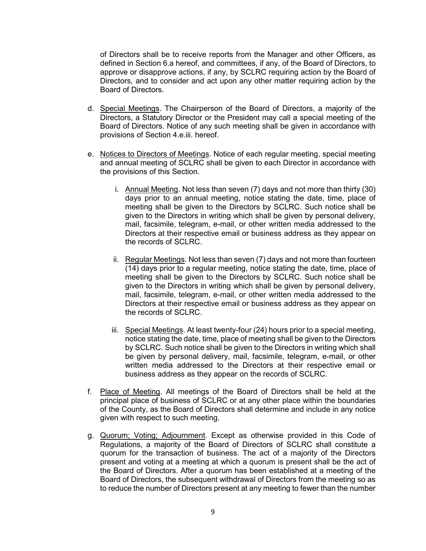of Directors shall be to receive reports from the Manager and other Officers, as defined in Section 6.a hereof, and committees, if any, of the Board of Directors, to approve or disapprove actions, if any, by SCLRC requiring action by the Board of Directors, and to consider and act upon any other matter requiring action by the Board of Directors.

- d. Special Meetings. The Chairperson of the Board of Directors, a majority of the Directors, a Statutory Director or the President may call a special meeting of the Board of Directors. Notice of any such meeting shall be given in accordance with provisions of Section 4.e.iii. hereof.
- e. Notices to Directors of Meetings. Notice of each regular meeting, special meeting and annual meeting of SCLRC shall be given to each Director in accordance with the provisions of this Section.
	- i. Annual Meeting. Not less than seven (7) days and not more than thirty (30) days prior to an annual meeting, notice stating the date, time, place of meeting shall be given to the Directors by SCLRC. Such notice shall be given to the Directors in writing which shall be given by personal delivery, mail, facsimile, telegram, e-mail, or other written media addressed to the Directors at their respective email or business address as they appear on the records of SCLRC.
	- ii. Regular Meetings. Not less than seven (7) days and not more than fourteen (14) days prior to a regular meeting, notice stating the date, time, place of meeting shall be given to the Directors by SCLRC. Such notice shall be given to the Directors in writing which shall be given by personal delivery, mail, facsimile, telegram, e-mail, or other written media addressed to the Directors at their respective email or business address as they appear on the records of SCLRC.
	- iii. Special Meetings. At least twenty-four (24) hours prior to a special meeting, notice stating the date, time, place of meeting shall be given to the Directors by SCLRC. Such notice shall be given to the Directors in writing which shall be given by personal delivery, mail, facsimile, telegram, e-mail, or other written media addressed to the Directors at their respective email or business address as they appear on the records of SCLRC.
- f. Place of Meeting. All meetings of the Board of Directors shall be held at the principal place of business of SCLRC or at any other place within the boundaries of the County, as the Board of Directors shall determine and include in any notice given with respect to such meeting.
- g. Quorum; Voting; Adjournment. Except as otherwise provided in this Code of Regulations, a majority of the Board of Directors of SCLRC shall constitute a quorum for the transaction of business. The act of a majority of the Directors present and voting at a meeting at which a quorum is present shall be the act of the Board of Directors. After a quorum has been established at a meeting of the Board of Directors, the subsequent withdrawal of Directors from the meeting so as to reduce the number of Directors present at any meeting to fewer than the number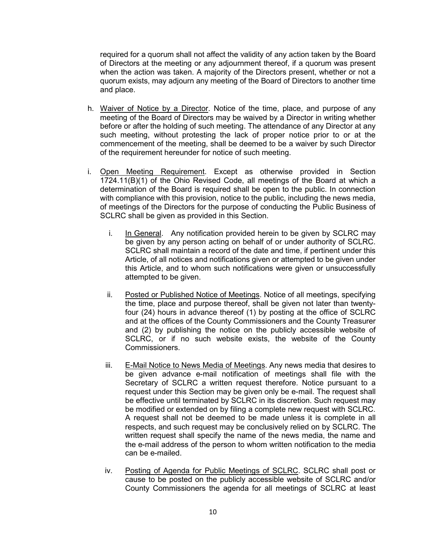required for a quorum shall not affect the validity of any action taken by the Board of Directors at the meeting or any adjournment thereof, if a quorum was present when the action was taken. A majority of the Directors present, whether or not a quorum exists, may adjourn any meeting of the Board of Directors to another time and place.

- h. Waiver of Notice by a Director. Notice of the time, place, and purpose of any meeting of the Board of Directors may be waived by a Director in writing whether before or after the holding of such meeting. The attendance of any Director at any such meeting, without protesting the lack of proper notice prior to or at the commencement of the meeting, shall be deemed to be a waiver by such Director of the requirement hereunder for notice of such meeting.
- i. Open Meeting Requirement. Except as otherwise provided in Section 1724.11(B)(1) of the Ohio Revised Code, all meetings of the Board at which a determination of the Board is required shall be open to the public. In connection with compliance with this provision, notice to the public, including the news media, of meetings of the Directors for the purpose of conducting the Public Business of SCLRC shall be given as provided in this Section.
	- i. In General. Any notification provided herein to be given by SCLRC may be given by any person acting on behalf of or under authority of SCLRC. SCLRC shall maintain a record of the date and time, if pertinent under this Article, of all notices and notifications given or attempted to be given under this Article, and to whom such notifications were given or unsuccessfully attempted to be given.
	- ii. Posted or Published Notice of Meetings. Notice of all meetings, specifying the time, place and purpose thereof, shall be given not later than twentyfour (24) hours in advance thereof (1) by posting at the office of SCLRC and at the offices of the County Commissioners and the County Treasurer and (2) by publishing the notice on the publicly accessible website of SCLRC, or if no such website exists, the website of the County Commissioners.
	- iii. E-Mail Notice to News Media of Meetings. Any news media that desires to be given advance e-mail notification of meetings shall file with the Secretary of SCLRC a written request therefore. Notice pursuant to a request under this Section may be given only be e-mail. The request shall be effective until terminated by SCLRC in its discretion. Such request may be modified or extended on by filing a complete new request with SCLRC. A request shall not be deemed to be made unless it is complete in all respects, and such request may be conclusively relied on by SCLRC. The written request shall specify the name of the news media, the name and the e-mail address of the person to whom written notification to the media can be e-mailed.
	- iv. Posting of Agenda for Public Meetings of SCLRC. SCLRC shall post or cause to be posted on the publicly accessible website of SCLRC and/or County Commissioners the agenda for all meetings of SCLRC at least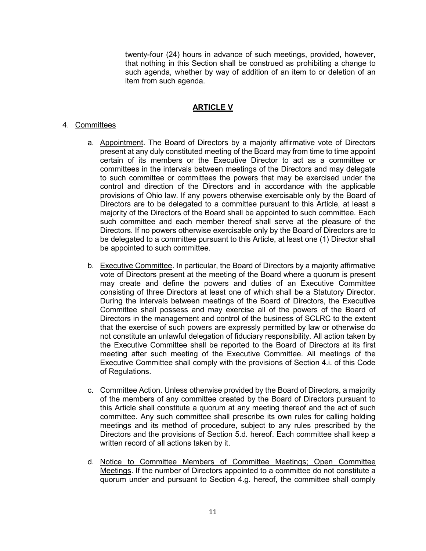twenty-four (24) hours in advance of such meetings, provided, however, that nothing in this Section shall be construed as prohibiting a change to such agenda, whether by way of addition of an item to or deletion of an item from such agenda.

# **ARTICLE V**

### 4. Committees

- a. Appointment. The Board of Directors by a majority affirmative vote of Directors present at any duly constituted meeting of the Board may from time to time appoint certain of its members or the Executive Director to act as a committee or committees in the intervals between meetings of the Directors and may delegate to such committee or committees the powers that may be exercised under the control and direction of the Directors and in accordance with the applicable provisions of Ohio law. If any powers otherwise exercisable only by the Board of Directors are to be delegated to a committee pursuant to this Article, at least a majority of the Directors of the Board shall be appointed to such committee. Each such committee and each member thereof shall serve at the pleasure of the Directors. If no powers otherwise exercisable only by the Board of Directors are to be delegated to a committee pursuant to this Article, at least one (1) Director shall be appointed to such committee.
- b. Executive Committee. In particular, the Board of Directors by a majority affirmative vote of Directors present at the meeting of the Board where a quorum is present may create and define the powers and duties of an Executive Committee consisting of three Directors at least one of which shall be a Statutory Director. During the intervals between meetings of the Board of Directors, the Executive Committee shall possess and may exercise all of the powers of the Board of Directors in the management and control of the business of SCLRC to the extent that the exercise of such powers are expressly permitted by law or otherwise do not constitute an unlawful delegation of fiduciary responsibility. All action taken by the Executive Committee shall be reported to the Board of Directors at its first meeting after such meeting of the Executive Committee. All meetings of the Executive Committee shall comply with the provisions of Section 4.i. of this Code of Regulations.
- c. Committee Action. Unless otherwise provided by the Board of Directors, a majority of the members of any committee created by the Board of Directors pursuant to this Article shall constitute a quorum at any meeting thereof and the act of such committee. Any such committee shall prescribe its own rules for calling holding meetings and its method of procedure, subject to any rules prescribed by the Directors and the provisions of Section 5.d. hereof. Each committee shall keep a written record of all actions taken by it.
- d. Notice to Committee Members of Committee Meetings; Open Committee Meetings. If the number of Directors appointed to a committee do not constitute a quorum under and pursuant to Section 4.g. hereof, the committee shall comply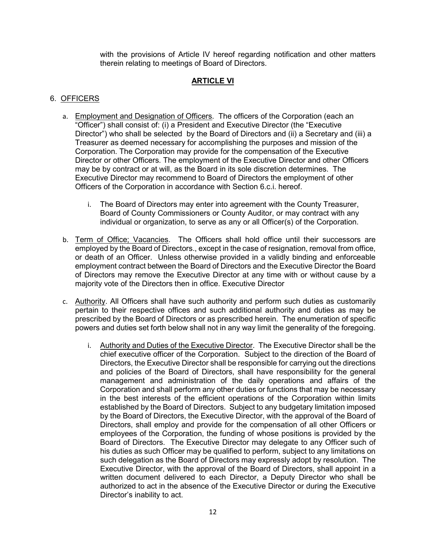with the provisions of Article IV hereof regarding notification and other matters therein relating to meetings of Board of Directors.

# **ARTICLE VI**

### 6. OFFICERS

- a. Employment and Designation of Officers. The officers of the Corporation (each an "Officer") shall consist of: (i) a President and Executive Director (the "Executive Director") who shall be selected by the Board of Directors and (ii) a Secretary and (iii) a Treasurer as deemed necessary for accomplishing the purposes and mission of the Corporation. The Corporation may provide for the compensation of the Executive Director or other Officers. The employment of the Executive Director and other Officers may be by contract or at will, as the Board in its sole discretion determines. The Executive Director may recommend to Board of Directors the employment of other Officers of the Corporation in accordance with Section 6.c.i. hereof.
	- i. The Board of Directors may enter into agreement with the County Treasurer, Board of County Commissioners or County Auditor, or may contract with any individual or organization, to serve as any or all Officer(s) of the Corporation.
- b. Term of Office; Vacancies. The Officers shall hold office until their successors are employed by the Board of Directors., except in the case of resignation, removal from office, or death of an Officer. Unless otherwise provided in a validly binding and enforceable employment contract between the Board of Directors and the Executive Director the Board of Directors may remove the Executive Director at any time with or without cause by a majority vote of the Directors then in office. Executive Director
- c. Authority. All Officers shall have such authority and perform such duties as customarily pertain to their respective offices and such additional authority and duties as may be prescribed by the Board of Directors or as prescribed herein. The enumeration of specific powers and duties set forth below shall not in any way limit the generality of the foregoing.
	- i. Authority and Duties of the Executive Director. The Executive Director shall be the chief executive officer of the Corporation. Subject to the direction of the Board of Directors, the Executive Director shall be responsible for carrying out the directions and policies of the Board of Directors, shall have responsibility for the general management and administration of the daily operations and affairs of the Corporation and shall perform any other duties or functions that may be necessary in the best interests of the efficient operations of the Corporation within limits established by the Board of Directors. Subject to any budgetary limitation imposed by the Board of Directors, the Executive Director, with the approval of the Board of Directors, shall employ and provide for the compensation of all other Officers or employees of the Corporation, the funding of whose positions is provided by the Board of Directors. The Executive Director may delegate to any Officer such of his duties as such Officer may be qualified to perform, subject to any limitations on such delegation as the Board of Directors may expressly adopt by resolution. The Executive Director, with the approval of the Board of Directors, shall appoint in a written document delivered to each Director, a Deputy Director who shall be authorized to act in the absence of the Executive Director or during the Executive Director's inability to act.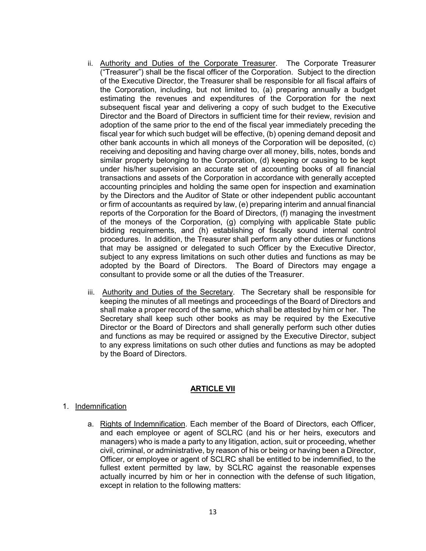- ii. Authority and Duties of the Corporate Treasurer. The Corporate Treasurer ("Treasurer") shall be the fiscal officer of the Corporation. Subject to the direction of the Executive Director, the Treasurer shall be responsible for all fiscal affairs of the Corporation, including, but not limited to, (a) preparing annually a budget estimating the revenues and expenditures of the Corporation for the next subsequent fiscal year and delivering a copy of such budget to the Executive Director and the Board of Directors in sufficient time for their review, revision and adoption of the same prior to the end of the fiscal year immediately preceding the fiscal year for which such budget will be effective, (b) opening demand deposit and other bank accounts in which all moneys of the Corporation will be deposited, (c) receiving and depositing and having charge over all money, bills, notes, bonds and similar property belonging to the Corporation, (d) keeping or causing to be kept under his/her supervision an accurate set of accounting books of all financial transactions and assets of the Corporation in accordance with generally accepted accounting principles and holding the same open for inspection and examination by the Directors and the Auditor of State or other independent public accountant or firm of accountants as required by law, (e) preparing interim and annual financial reports of the Corporation for the Board of Directors, (f) managing the investment of the moneys of the Corporation, (g) complying with applicable State public bidding requirements, and (h) establishing of fiscally sound internal control procedures. In addition, the Treasurer shall perform any other duties or functions that may be assigned or delegated to such Officer by the Executive Director, subject to any express limitations on such other duties and functions as may be adopted by the Board of Directors. The Board of Directors may engage a consultant to provide some or all the duties of the Treasurer.
- iii. Authority and Duties of the Secretary. The Secretary shall be responsible for keeping the minutes of all meetings and proceedings of the Board of Directors and shall make a proper record of the same, which shall be attested by him or her. The Secretary shall keep such other books as may be required by the Executive Director or the Board of Directors and shall generally perform such other duties and functions as may be required or assigned by the Executive Director, subject to any express limitations on such other duties and functions as may be adopted by the Board of Directors.

# **ARTICLE VII**

#### 1. Indemnification

a. Rights of Indemnification. Each member of the Board of Directors, each Officer, and each employee or agent of SCLRC (and his or her heirs, executors and managers) who is made a party to any litigation, action, suit or proceeding, whether civil, criminal, or administrative, by reason of his or being or having been a Director, Officer, or employee or agent of SCLRC shall be entitled to be indemnified, to the fullest extent permitted by law, by SCLRC against the reasonable expenses actually incurred by him or her in connection with the defense of such litigation, except in relation to the following matters: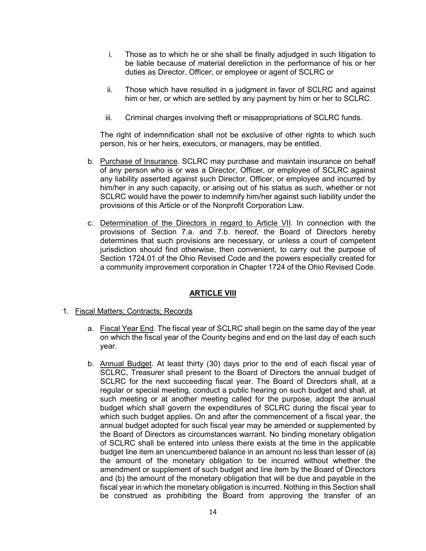- i. Those as to which he or she shall be finally adjudged in such litigation to be liable because of material dereliction in the performance of his or her duties as Director, Officer, or employee or agent of SCLRC or
- ii. Those which have resulted in a judgment in favor of SCLRC and against him or her, or which are settled by any payment by him or her to SCLRC.
- iii. Criminal charges involving theft or misappropriations of SCLRC funds.

The right of indemnification shall not be exclusive of other rights to which such person, his or her heirs, executors, or managers, may be entitled.

- b. Purchase of Insurance. SCLRC may purchase and maintain insurance on behalf of any person who is or was a Director, Officer, or employee of SCLRC against any liability asserted against such Director, Officer, or employee and incurred by him/her in any such capacity, or arising out of his status as such, whether or not SCLRC would have the power to indemnify him/her against such liability under the provisions of this Article or of the Nonprofit Corporation Law.
- c. Determination of the Directors in regard to Article VII. In connection with the provisions of Section 7.a. and 7.b. hereof, the Board of Directors hereby determines that such provisions are necessary, or unless a court of competent jurisdiction should find otherwise, then convenient, to carry out the purpose of Section 1724.01 of the Ohio Revised Code and the powers especially created for a community improvement corporation in Chapter 1724 of the Ohio Revised Code.

# **ARTICLE VIII**

- 1. Fiscal Matters; Contracts; Records
	- a. Fiscal Year End. The fiscal year of SCLRC shall begin on the same day of the year on which the fiscal year of the County begins and end on the last day of each such year.
	- b. Annual Budget. At least thirty (30) days prior to the end of each fiscal year of SCLRC, Treasurer shall present to the Board of Directors the annual budget of SCLRC for the next succeeding fiscal year. The Board of Directors shall, at a regular or special meeting, conduct a public hearing on such budget and shall, at such meeting or at another meeting called for the purpose, adopt the annual budget which shall govern the expenditures of SCLRC during the fiscal year to which such budget applies. On and after the commencement of a fiscal year, the annual budget adopted for such fiscal year may be amended or supplemented by the Board of Directors as circumstances warrant. No binding monetary obligation of SCLRC shall be entered into unless there exists at the time in the applicable budget line item an unencumbered balance in an amount no less than lesser of (a) the amount of the monetary obligation to be incurred without whether the amendment or supplement of such budget and line item by the Board of Directors and (b) the amount of the monetary obligation that will be due and payable in the fiscal year in which the monetary obligation is incurred. Nothing in this Section shall be construed as prohibiting the Board from approving the transfer of an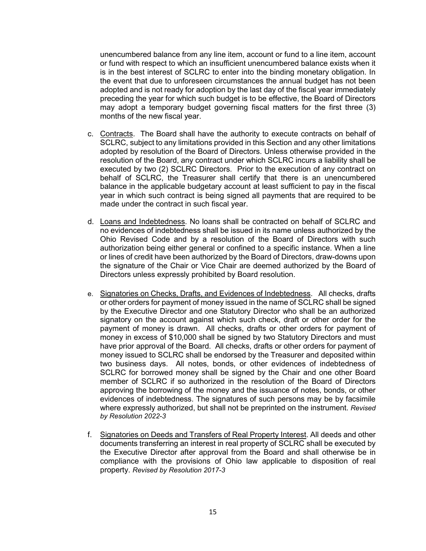unencumbered balance from any line item, account or fund to a line item, account or fund with respect to which an insufficient unencumbered balance exists when it is in the best interest of SCLRC to enter into the binding monetary obligation. In the event that due to unforeseen circumstances the annual budget has not been adopted and is not ready for adoption by the last day of the fiscal year immediately preceding the year for which such budget is to be effective, the Board of Directors may adopt a temporary budget governing fiscal matters for the first three (3) months of the new fiscal year.

- c. Contracts. The Board shall have the authority to execute contracts on behalf of SCLRC, subject to any limitations provided in this Section and any other limitations adopted by resolution of the Board of Directors. Unless otherwise provided in the resolution of the Board, any contract under which SCLRC incurs a liability shall be executed by two (2) SCLRC Directors. Prior to the execution of any contract on behalf of SCLRC, the Treasurer shall certify that there is an unencumbered balance in the applicable budgetary account at least sufficient to pay in the fiscal year in which such contract is being signed all payments that are required to be made under the contract in such fiscal year.
- d. Loans and Indebtedness. No loans shall be contracted on behalf of SCLRC and no evidences of indebtedness shall be issued in its name unless authorized by the Ohio Revised Code and by a resolution of the Board of Directors with such authorization being either general or confined to a specific instance. When a line or lines of credit have been authorized by the Board of Directors, draw-downs upon the signature of the Chair or Vice Chair are deemed authorized by the Board of Directors unless expressly prohibited by Board resolution.
- e. Signatories on Checks, Drafts, and Evidences of Indebtedness. All checks, drafts or other orders for payment of money issued in the name of SCLRC shall be signed by the Executive Director and one Statutory Director who shall be an authorized signatory on the account against which such check, draft or other order for the payment of money is drawn. All checks, drafts or other orders for payment of money in excess of \$10,000 shall be signed by two Statutory Directors and must have prior approval of the Board. All checks, drafts or other orders for payment of money issued to SCLRC shall be endorsed by the Treasurer and deposited within two business days. All notes, bonds, or other evidences of indebtedness of SCLRC for borrowed money shall be signed by the Chair and one other Board member of SCLRC if so authorized in the resolution of the Board of Directors approving the borrowing of the money and the issuance of notes, bonds, or other evidences of indebtedness. The signatures of such persons may be by facsimile where expressly authorized, but shall not be preprinted on the instrument. *Revised by Resolution 2022-3*
- f. Signatories on Deeds and Transfers of Real Property Interest. All deeds and other documents transferring an interest in real property of SCLRC shall be executed by the Executive Director after approval from the Board and shall otherwise be in compliance with the provisions of Ohio law applicable to disposition of real property. *Revised by Resolution 2017-3*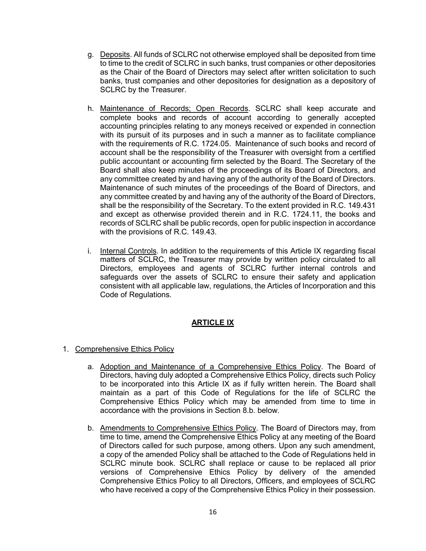- g. Deposits. All funds of SCLRC not otherwise employed shall be deposited from time to time to the credit of SCLRC in such banks, trust companies or other depositories as the Chair of the Board of Directors may select after written solicitation to such banks, trust companies and other depositories for designation as a depository of SCLRC by the Treasurer.
- h. Maintenance of Records; Open Records. SCLRC shall keep accurate and complete books and records of account according to generally accepted accounting principles relating to any moneys received or expended in connection with its pursuit of its purposes and in such a manner as to facilitate compliance with the requirements of R.C. 1724.05. Maintenance of such books and record of account shall be the responsibility of the Treasurer with oversight from a certified public accountant or accounting firm selected by the Board. The Secretary of the Board shall also keep minutes of the proceedings of its Board of Directors, and any committee created by and having any of the authority of the Board of Directors. Maintenance of such minutes of the proceedings of the Board of Directors, and any committee created by and having any of the authority of the Board of Directors, shall be the responsibility of the Secretary. To the extent provided in R.C. 149.431 and except as otherwise provided therein and in R.C. 1724.11, the books and records of SCLRC shall be public records, open for public inspection in accordance with the provisions of R.C. 149.43.
- i. Internal Controls. In addition to the requirements of this Article IX regarding fiscal matters of SCLRC, the Treasurer may provide by written policy circulated to all Directors, employees and agents of SCLRC further internal controls and safeguards over the assets of SCLRC to ensure their safety and application consistent with all applicable law, regulations, the Articles of Incorporation and this Code of Regulations.

# **ARTICLE IX**

- 1. Comprehensive Ethics Policy
	- a. Adoption and Maintenance of a Comprehensive Ethics Policy. The Board of Directors, having duly adopted a Comprehensive Ethics Policy, directs such Policy to be incorporated into this Article IX as if fully written herein. The Board shall maintain as a part of this Code of Regulations for the life of SCLRC the Comprehensive Ethics Policy which may be amended from time to time in accordance with the provisions in Section 8.b. below.
	- b. Amendments to Comprehensive Ethics Policy. The Board of Directors may, from time to time, amend the Comprehensive Ethics Policy at any meeting of the Board of Directors called for such purpose, among others. Upon any such amendment, a copy of the amended Policy shall be attached to the Code of Regulations held in SCLRC minute book. SCLRC shall replace or cause to be replaced all prior versions of Comprehensive Ethics Policy by delivery of the amended Comprehensive Ethics Policy to all Directors, Officers, and employees of SCLRC who have received a copy of the Comprehensive Ethics Policy in their possession.